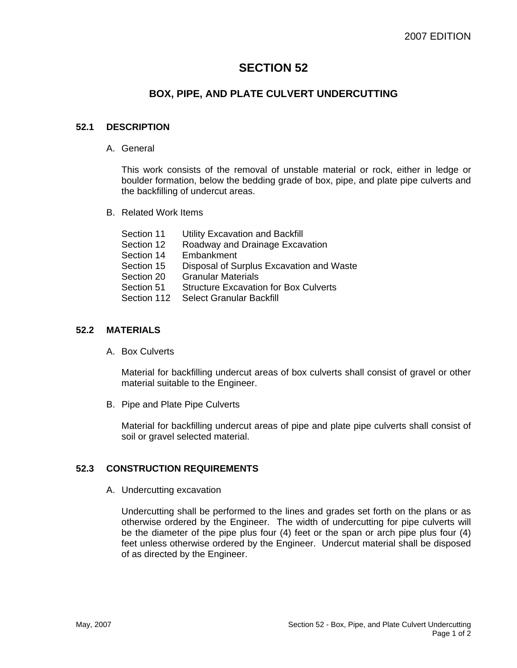# **SECTION 52**

## **BOX, PIPE, AND PLATE CULVERT UNDERCUTTING**

### **52.1 DESCRIPTION**

A. General

This work consists of the removal of unstable material or rock, either in ledge or boulder formation, below the bedding grade of box, pipe, and plate pipe culverts and the backfilling of undercut areas.

B. Related Work Items

| Section 11  | Utility Excavation and Backfill              |
|-------------|----------------------------------------------|
| Section 12  | Roadway and Drainage Excavation              |
| Section 14  | Embankment                                   |
| Section 15  | Disposal of Surplus Excavation and Waste     |
| Section 20  | <b>Granular Materials</b>                    |
| Section 51  | <b>Structure Excavation for Box Culverts</b> |
| Section 112 | Select Granular Backfill                     |

#### **52.2 MATERIALS**

A. Box Culverts

Material for backfilling undercut areas of box culverts shall consist of gravel or other material suitable to the Engineer.

B. Pipe and Plate Pipe Culverts

Material for backfilling undercut areas of pipe and plate pipe culverts shall consist of soil or gravel selected material.

#### **52.3 CONSTRUCTION REQUIREMENTS**

A. Undercutting excavation

Undercutting shall be performed to the lines and grades set forth on the plans or as otherwise ordered by the Engineer. The width of undercutting for pipe culverts will be the diameter of the pipe plus four (4) feet or the span or arch pipe plus four (4) feet unless otherwise ordered by the Engineer. Undercut material shall be disposed of as directed by the Engineer.